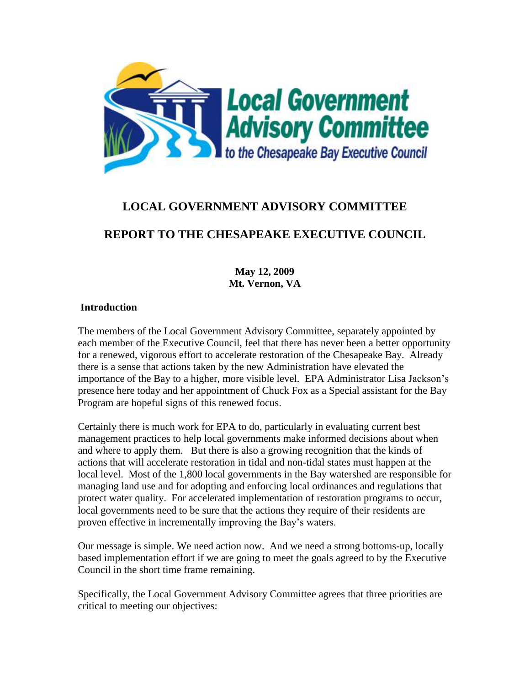

# **LOCAL GOVERNMENT ADVISORY COMMITTEE**

# **REPORT TO THE CHESAPEAKE EXECUTIVE COUNCIL**

**May 12, 2009 Mt. Vernon, VA**

### **Introduction**

The members of the Local Government Advisory Committee, separately appointed by each member of the Executive Council, feel that there has never been a better opportunity for a renewed, vigorous effort to accelerate restoration of the Chesapeake Bay. Already there is a sense that actions taken by the new Administration have elevated the importance of the Bay to a higher, more visible level. EPA Administrator Lisa Jackson's presence here today and her appointment of Chuck Fox as a Special assistant for the Bay Program are hopeful signs of this renewed focus.

Certainly there is much work for EPA to do, particularly in evaluating current best management practices to help local governments make informed decisions about when and where to apply them. But there is also a growing recognition that the kinds of actions that will accelerate restoration in tidal and non-tidal states must happen at the local level. Most of the 1,800 local governments in the Bay watershed are responsible for managing land use and for adopting and enforcing local ordinances and regulations that protect water quality. For accelerated implementation of restoration programs to occur, local governments need to be sure that the actions they require of their residents are proven effective in incrementally improving the Bay's waters.

Our message is simple. We need action now. And we need a strong bottoms-up, locally based implementation effort if we are going to meet the goals agreed to by the Executive Council in the short time frame remaining.

Specifically, the Local Government Advisory Committee agrees that three priorities are critical to meeting our objectives: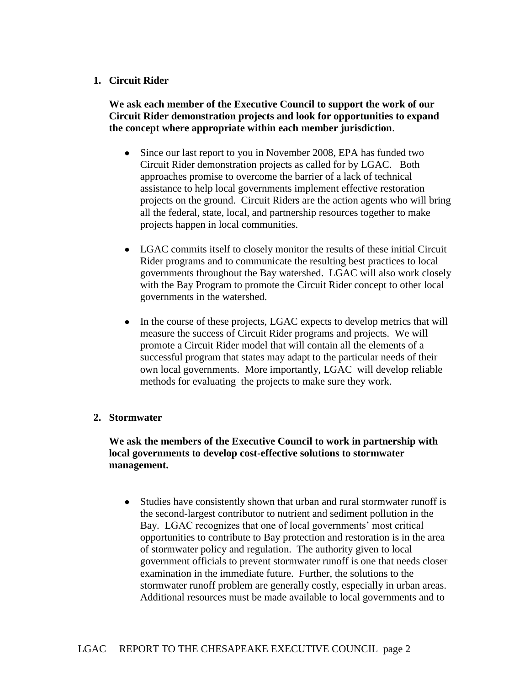### **1. Circuit Rider**

**We ask each member of the Executive Council to support the work of our Circuit Rider demonstration projects and look for opportunities to expand the concept where appropriate within each member jurisdiction**.

- Since our last report to you in November 2008, EPA has funded two Circuit Rider demonstration projects as called for by LGAC. Both approaches promise to overcome the barrier of a lack of technical assistance to help local governments implement effective restoration projects on the ground. Circuit Riders are the action agents who will bring all the federal, state, local, and partnership resources together to make projects happen in local communities.
- LGAC commits itself to closely monitor the results of these initial Circuit Rider programs and to communicate the resulting best practices to local governments throughout the Bay watershed. LGAC will also work closely with the Bay Program to promote the Circuit Rider concept to other local governments in the watershed.
- In the course of these projects, LGAC expects to develop metrics that will measure the success of Circuit Rider programs and projects. We will promote a Circuit Rider model that will contain all the elements of a successful program that states may adapt to the particular needs of their own local governments. More importantly, LGAC will develop reliable methods for evaluating the projects to make sure they work.

#### **2. Stormwater**

### **We ask the members of the Executive Council to work in partnership with local governments to develop cost-effective solutions to stormwater management.**

 Studies have consistently shown that urban and rural stormwater runoff is the second-largest contributor to nutrient and sediment pollution in the Bay. LGAC recognizes that one of local governments' most critical opportunities to contribute to Bay protection and restoration is in the area of stormwater policy and regulation. The authority given to local government officials to prevent stormwater runoff is one that needs closer examination in the immediate future. Further, the solutions to the stormwater runoff problem are generally costly, especially in urban areas. Additional resources must be made available to local governments and to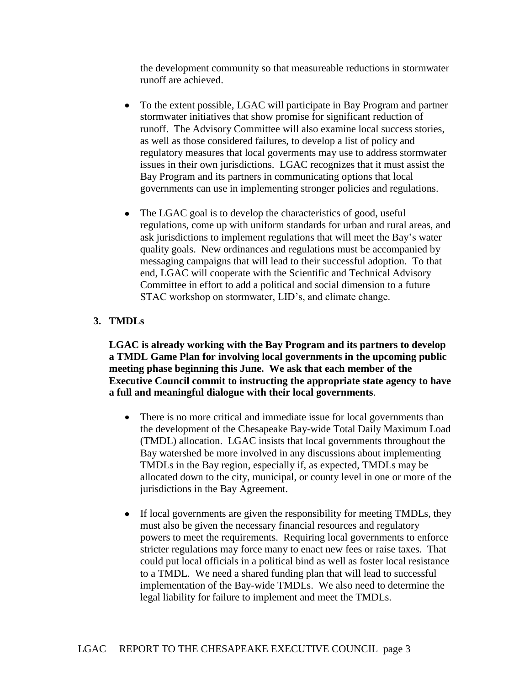the development community so that measureable reductions in stormwater runoff are achieved.

- To the extent possible, LGAC will participate in Bay Program and partner stormwater initiatives that show promise for significant reduction of runoff. The Advisory Committee will also examine local success stories, as well as those considered failures, to develop a list of policy and regulatory measures that local goverments may use to address stormwater issues in their own jurisdictions. LGAC recognizes that it must assist the Bay Program and its partners in communicating options that local governments can use in implementing stronger policies and regulations.
- The LGAC goal is to develop the characteristics of good, useful regulations, come up with uniform standards for urban and rural areas, and ask jurisdictions to implement regulations that will meet the Bay's water quality goals. New ordinances and regulations must be accompanied by messaging campaigns that will lead to their successful adoption. To that end, LGAC will cooperate with the Scientific and Technical Advisory Committee in effort to add a political and social dimension to a future STAC workshop on stormwater, LID's, and climate change.

## **3. TMDLs**

**LGAC is already working with the Bay Program and its partners to develop a TMDL Game Plan for involving local governments in the upcoming public meeting phase beginning this June. We ask that each member of the Executive Council commit to instructing the appropriate state agency to have a full and meaningful dialogue with their local governments**.

- There is no more critical and immediate issue for local governments than the development of the Chesapeake Bay-wide Total Daily Maximum Load (TMDL) allocation. LGAC insists that local governments throughout the Bay watershed be more involved in any discussions about implementing TMDLs in the Bay region, especially if, as expected, TMDLs may be allocated down to the city, municipal, or county level in one or more of the jurisdictions in the Bay Agreement.
- If local governments are given the responsibility for meeting TMDLs, they must also be given the necessary financial resources and regulatory powers to meet the requirements. Requiring local governments to enforce stricter regulations may force many to enact new fees or raise taxes. That could put local officials in a political bind as well as foster local resistance to a TMDL. We need a shared funding plan that will lead to successful implementation of the Bay-wide TMDLs. We also need to determine the legal liability for failure to implement and meet the TMDLs.